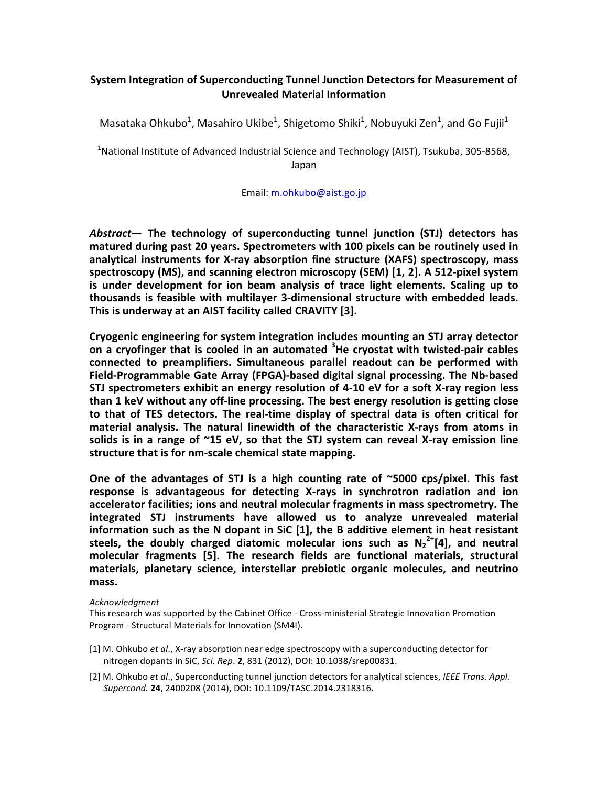## **System Integration of Superconducting Tunnel Junction Detectors for Measurement of Unrevealed Material Information**

Masataka Ohkubo<sup>1</sup>, Masahiro Ukibe<sup>1</sup>, Shigetomo Shiki<sup>1</sup>, Nobuyuki Zen<sup>1</sup>, and Go Fujii<sup>1</sup>

 $^1$ National Institute of Advanced Industrial Science and Technology (AIST), Tsukuba, 305-8568, Japan

Email: [m.ohkubo@aist.go.jp](mailto:m.ohkubo@aist.go.jp)

Abstract— The technology of superconducting tunnel junction (STJ) detectors has matured during past 20 years. Spectrometers with 100 pixels can be routinely used in analytical instruments for X-ray absorption fine structure (XAFS) spectroscopy, mass spectroscopy (MS), and scanning electron microscopy (SEM) [1, 2]. A 512-pixel system is under development for ion beam analysis of trace light elements. Scaling up to thousands is feasible with multilayer 3-dimensional structure with embedded leads. This is underway at an AIST facility called CRAVITY [3].

Cryogenic engineering for system integration includes mounting an STJ array detector on a cryofinger that is cooled in an automated <sup>3</sup>He cryostat with twisted-pair cables connected to preamplifiers. Simultaneous parallel readout can be performed with Field-Programmable Gate Array (FPGA)-based digital signal processing. The Nb-based **STJ** spectrometers exhibit an energy resolution of 4-10 eV for a soft X-ray region less **than 1 keV without any off-line processing. The best energy resolution is getting close** to that of TES detectors. The real-time display of spectral data is often critical for material analysis. The natural linewidth of the characteristic X-rays from atoms in solids is in a range of ~15 eV, so that the STJ system can reveal X-ray emission line structure that is for nm-scale chemical state mapping.

One of the advantages of STJ is a high counting rate of ~5000 cps/pixel. This fast response is advantageous for detecting X-rays in synchrotron radiation and ion accelerator facilities; ions and neutral molecular fragments in mass spectrometry. The **integrated STJ instruments have allowed us to analyze unrevealed material**  information such as the N dopant in SiC [1], the B additive element in heat resistant steels, the doubly charged diatomic molecular ions such as  $N_2^{2+}[4]$ , and neutral molecular fragments [5]. The research fields are functional materials, structural materials, planetary science, interstellar prebiotic organic molecules, and neutrino **mass.**

## *Acknowledgment*

This research was supported by the Cabinet Office - Cross-ministerial Strategic Innovation Promotion Program - Structural Materials for Innovation (SM4I).

- [1] M. Ohkubo et al., X-ray absorption near edge spectroscopy with a superconducting detector for nitrogen dopants in SiC, Sci. Rep. 2, 831 (2012), DOI: 10.1038/srep00831.
- [2] M. Ohkubo et al., Superconducting tunnel junction detectors for analytical sciences, *IEEE Trans. Appl. Supercond.* **24**, 2400208 (2014), DOI: 10.1109/TASC.2014.2318316.